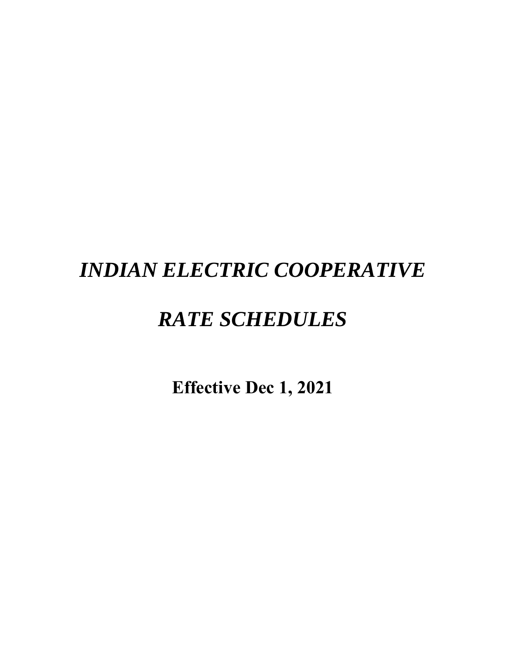# *INDIAN ELECTRIC COOPERATIVE*

# *RATE SCHEDULES*

**Effective Dec 1, 2021**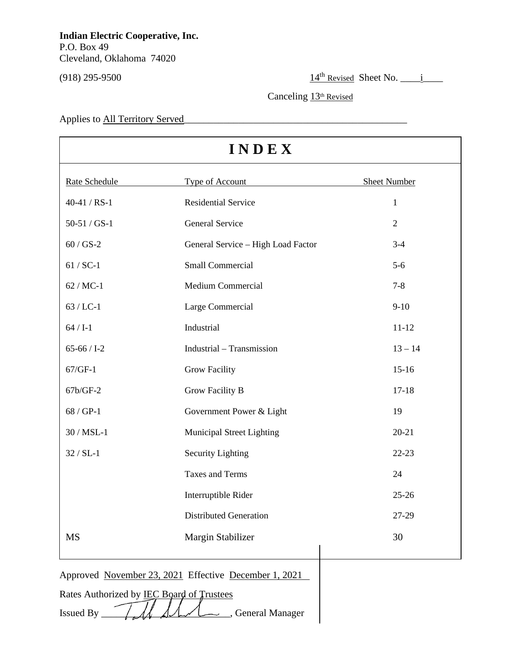$(918)$  295-9500  $\frac{14^{\text{th}} \text{Revised}}{295}$  Sheet No.  $\frac{1}{12}$ 

Canceling 13<sup>th</sup> Revised

Applies to All Territory Served

| INDEX          |                                    |                     |  |  |
|----------------|------------------------------------|---------------------|--|--|
| Rate Schedule  | Type of Account                    | <b>Sheet Number</b> |  |  |
| $40-41 / RS-1$ | <b>Residential Service</b>         | $\mathbf{1}$        |  |  |
| $50-51 / GS-1$ | <b>General Service</b>             | $\overline{2}$      |  |  |
| $60/GS-2$      | General Service - High Load Factor | $3 - 4$             |  |  |
| $61 / SC-1$    | <b>Small Commercial</b>            | $5-6$               |  |  |
| $62 / MC-1$    | <b>Medium Commercial</b>           | $7 - 8$             |  |  |
| $63$ / LC-1    | Large Commercial                   | $9 - 10$            |  |  |
| $64 / I-1$     | Industrial                         | $11 - 12$           |  |  |
| $65-66$ / I-2  | Industrial - Transmission          | $13 - 14$           |  |  |
| $67/GF-1$      | <b>Grow Facility</b>               | $15-16$             |  |  |
| 67b/GF-2       | <b>Grow Facility B</b>             | $17 - 18$           |  |  |
| $68 / GP-1$    | Government Power & Light           | 19                  |  |  |
| $30/MSL-1$     | <b>Municipal Street Lighting</b>   | $20 - 21$           |  |  |
| $32 / SL-1$    | <b>Security Lighting</b>           | $22 - 23$           |  |  |
|                | <b>Taxes and Terms</b>             | 24                  |  |  |
|                | Interruptible Rider                | $25 - 26$           |  |  |
|                | <b>Distributed Generation</b>      | 27-29               |  |  |
| <b>MS</b>      | Margin Stabilizer                  | 30                  |  |  |
|                |                                    |                     |  |  |

Approved November 23, 2021 Effective December 1, 2021

Rates Authorized by **IEC Board of Trustees** 

Issued By  $\frac{1}{\sqrt{1-\frac{1}{2}}}$   $\frac{1}{\sqrt{1-\frac{1}{2}}}$  General Manager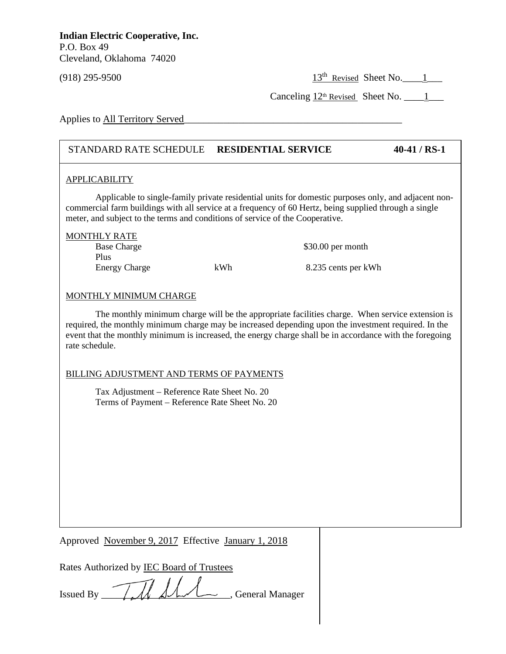(918) 295-9500 13<sup>th</sup> Revised Sheet No.  $13^{th}$  Revised Sheet No.  $1$ 

Canceling 12th Revised Sheet No. \_\_\_\_1\_\_\_

Applies to All Territory Served

## STANDARD RATE SCHEDULE **RESIDENTIAL SERVICE 40-41 / RS-1**

## APPLICABILITY

Applicable to single-family private residential units for domestic purposes only, and adjacent noncommercial farm buildings with all service at a frequency of 60 Hertz, being supplied through a single meter, and subject to the terms and conditions of service of the Cooperative.

| <b>MONTHLY RATE</b>  |     |                     |
|----------------------|-----|---------------------|
| <b>Base Charge</b>   |     | $$30.00$ per month  |
| Plus                 |     |                     |
| <b>Energy Charge</b> | kWh | 8.235 cents per kWh |
|                      |     |                     |

## MONTHLY MINIMUM CHARGE

The monthly minimum charge will be the appropriate facilities charge. When service extension is required, the monthly minimum charge may be increased depending upon the investment required. In the event that the monthly minimum is increased, the energy charge shall be in accordance with the foregoing rate schedule.

#### **D** NOT USE THE MARGIN  $\overline{\phantom{a}}$ BILLING ADJUSTMENT AND TERMS OF PAYMENTS

Tax Adjustment – Reference Rate Sheet No. 20 Terms of Payment – Reference Rate Sheet No. 20

Approved November 9, 2017 Effective January 1, 2018

Rates Authorized by IEC Board of Trustees

Issued By TAMAL, General Manager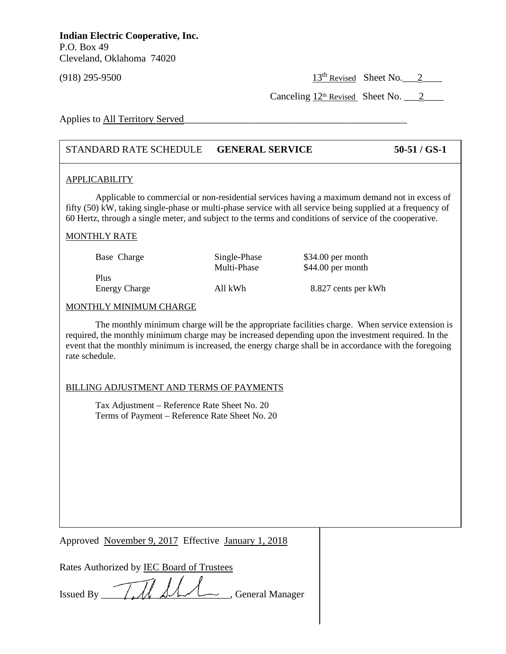(918) 295-9500 13<sup>th</sup> Revised Sheet No. 2

Canceling  $12<sup>th</sup>$  Revised Sheet No.  $2$ 

Applies to All Territory Served

## STANDARD RATE SCHEDULE **GENERAL SERVICE 50-51 / GS-1**

## APPLICABILITY

Applicable to commercial or non-residential services having a maximum demand not in excess of fifty (50) kW, taking single-phase or multi-phase service with all service being supplied at a frequency of 60 Hertz, through a single meter, and subject to the terms and conditions of service of the cooperative.

## MONTHLY RATE

| Base Charge          | Single-Phase | $$34.00$ per month  |
|----------------------|--------------|---------------------|
|                      | Multi-Phase  | $$44.00$ per month  |
| Plus                 |              |                     |
| <b>Energy Charge</b> | All kWh      | 8.827 cents per kWh |

## MONTHLY MINIMUM CHARGE

The monthly minimum charge will be the appropriate facilities charge. When service extension is required, the monthly minimum charge may be increased depending upon the investment required. In the event that the monthly minimum is increased, the energy charge shall be in accordance with the foregoing rate schedule.

# **BILLING ADJUSTMENT AND TERMS OF PAYMENTS**

Tax Adjustment – Reference Rate Sheet No. 20 Terms of Payment – Reference Rate Sheet No. 20

Approved November 9, 2017 Effective January 1, 2018

Rates Authorized by IEC Board of Trustees

Issued By *IMAA*, General Manager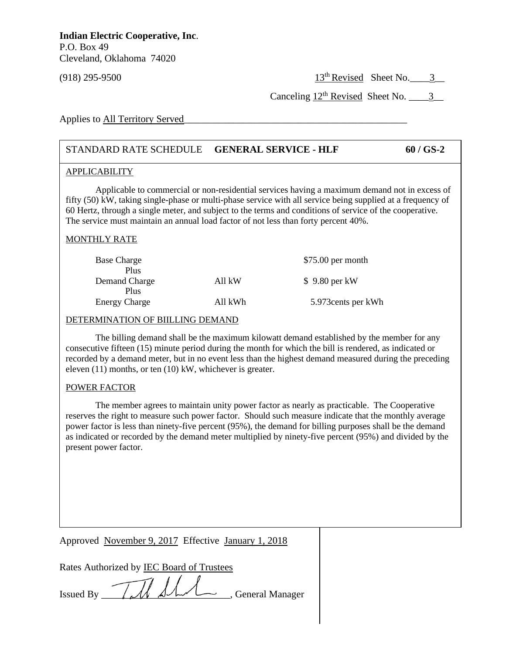(918) 295-9500 13<sup>th</sup> Revised Sheet No.  $\frac{3}{5}$ 

Canceling  $12^{th}$  Revised Sheet No.  $3$ 

Applies to All Territory Served

## STANDARD RATE SCHEDULE **GENERAL SERVICE - HLF 60 / GS-2**

### APPLICABILITY

Applicable to commercial or non-residential services having a maximum demand not in excess of fifty (50) kW, taking single-phase or multi-phase service with all service being supplied at a frequency of 60 Hertz, through a single meter, and subject to the terms and conditions of service of the cooperative. The service must maintain an annual load factor of not less than forty percent 40%.

## MONTHLY RATE

| <b>Base Charge</b>   |         | $$75.00$ per month  |
|----------------------|---------|---------------------|
| Plus                 |         |                     |
| Demand Charge        | All kW  | $$9.80$ per kW      |
| Plus                 |         |                     |
| <b>Energy Charge</b> | All kWh | 5.973 cents per kWh |

## DETERMINATION OF BIILLING DEMAND

The billing demand shall be the maximum kilowatt demand established by the member for any consecutive fifteen (15) minute period during the month for which the bill is rendered, as indicated or recorded by a demand meter, but in no event less than the highest demand measured during the preceding eleven (11) months, or ten (10) kW, whichever is greater.

# **POWER FACTOR**

The member agrees to maintain unity power factor as nearly as practicable. The Cooperative reserves the right to measure such power factor. Should such measure indicate that the monthly average power factor is less than ninety-five percent (95%), the demand for billing purposes shall be the demand as indicated or recorded by the demand meter multiplied by ninety-five percent (95%) and divided by the present power factor.

Approved November 9, 2017 Effective January 1, 2018

Issued By  $\sqrt{d}$   $\sqrt{d}$   $\sqrt{d}$   $\sqrt{d}$   $\sqrt{d}$   $\sqrt{d}$   $\sqrt{d}$   $\sqrt{d}$   $\sqrt{d}$   $\sqrt{d}$   $\sqrt{d}$   $\sqrt{d}$   $\sqrt{d}$   $\sqrt{d}$   $\sqrt{d}$   $\sqrt{d}$   $\sqrt{d}$   $\sqrt{d}$   $\sqrt{d}$   $\sqrt{d}$   $\sqrt{d}$   $\sqrt{d}$   $\sqrt{d}$   $\sqrt{d}$   $\sqrt{d}$   $\sqrt{d}$   $\sqrt$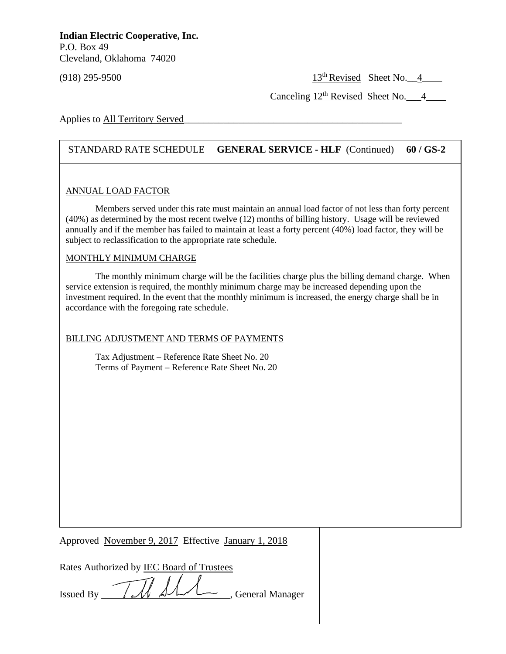(918) 295-9500 13<sup>th</sup> Revised Sheet No.  $\frac{4}{13}$ 

Canceling  $12^{th}$  Revised Sheet No. 4

Applies to All Territory Served

## STANDARD RATE SCHEDULE **GENERAL SERVICE - HLF** (Continued) **60 / GS-2**

## ANNUAL LOAD FACTOR

Members served under this rate must maintain an annual load factor of not less than forty percent (40%) as determined by the most recent twelve (12) months of billing history. Usage will be reviewed annually and if the member has failed to maintain at least a forty percent (40%) load factor, they will be subject to reclassification to the appropriate rate schedule.

## MONTHLY MINIMUM CHARGE

**DO NOT USE THIS MARGIN**

The monthly minimum charge will be the facilities charge plus the billing demand charge. When service extension is required, the monthly minimum charge may be increased depending upon the investment required. In the event that the monthly minimum is increased, the energy charge shall be in accordance with the foregoing rate schedule.

## BILLING ADJUSTMENT AND TERMS OF PAYMENTS

Tax Adjustment – Reference Rate Sheet No. 20 Terms of Payment – Reference Rate Sheet No. 20

Approved November 9, 2017 Effective January 1, 2018

| Rates Authorized by <b>IEC Board of Trustees</b> |                   |  |  |
|--------------------------------------------------|-------------------|--|--|
|                                                  | $\sim$ 1 $\prime$ |  |  |

Issued By  $\sqrt{d}$   $\sqrt{d}$   $\sqrt{d}$   $\sqrt{d}$   $\sqrt{d}$   $\sqrt{d}$   $\sqrt{d}$   $\sqrt{d}$   $\sqrt{d}$   $\sqrt{d}$   $\sqrt{d}$   $\sqrt{d}$   $\sqrt{d}$   $\sqrt{d}$   $\sqrt{d}$   $\sqrt{d}$   $\sqrt{d}$   $\sqrt{d}$   $\sqrt{d}$   $\sqrt{d}$   $\sqrt{d}$   $\sqrt{d}$   $\sqrt{d}$   $\sqrt{d}$   $\sqrt{d}$   $\sqrt{d}$   $\sqrt$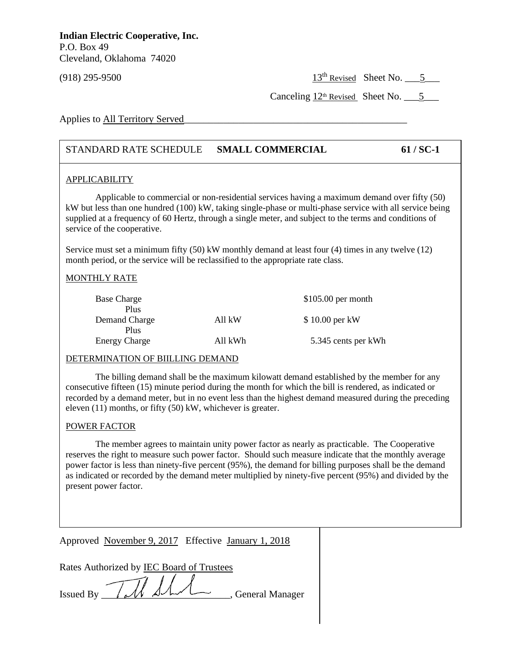$(918)$  295-9500 13<sup>th</sup> Revised Sheet No.  $\frac{5}{2}$ 

Canceling  $12<sup>th</sup>$  Revised Sheet No.  $\qquad 5$ 

Applies to All Territory Served

## STANDARD RATE SCHEDULE **SMALL COMMERCIAL 61 / SC-1**

### APPLICABILITY

Applicable to commercial or non-residential services having a maximum demand over fifty (50) kW but less than one hundred (100) kW, taking single-phase or multi-phase service with all service being supplied at a frequency of 60 Hertz, through a single meter, and subject to the terms and conditions of service of the cooperative.

Service must set a minimum fifty (50) kW monthly demand at least four (4) times in any twelve (12) month period, or the service will be reclassified to the appropriate rate class.

## MONTHLY RATE

| <b>Base Charge</b>            |         | $$105.00$ per month |
|-------------------------------|---------|---------------------|
| Plus<br>Demand Charge<br>Plus | All kW  | \$10.00 per kW      |
| <b>Energy Charge</b>          | All kWh | 5.345 cents per kWh |

## DETERMINATION OF BIILLING DEMAND

I The billing definant shall be the maximum knowatt definant established by the member for any<br>consecutive fifteen (15) minute period during the month for which the bill is rendered, as indicated or The billing demand shall be the maximum kilowatt demand established by the member for any recorded by a demand meter, but in no event less than the highest demand measured during the preceding eleven (11) months, or fifty (50) kW, whichever is greater.

### POWER FACTOR

The member agrees to maintain unity power factor as nearly as practicable. The Cooperative reserves the right to measure such power factor. Should such measure indicate that the monthly average power factor is less than ninety-five percent (95%), the demand for billing purposes shall be the demand as indicated or recorded by the demand meter multiplied by ninety-five percent (95%) and divided by the present power factor.

Approved November 9, 2017 Effective January 1, 2018

| Rates Authorized by IEC Board of Trustees |                   |
|-------------------------------------------|-------------------|
|                                           |                   |
| $T_{\text{sused By}}$ $\pi$               | , General Manager |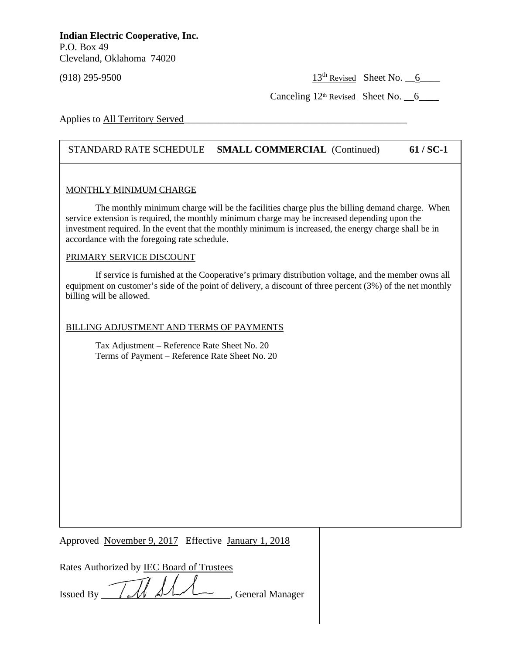(918) 295-9500 13<sup>th</sup> Revised Sheet No.  $\frac{6}{15}$ 

Canceling  $12<sup>th</sup>$  Revised Sheet No.  $6$ 

Applies to All Territory Served

## STANDARD RATE SCHEDULE **SMALL COMMERCIAL** (Continued) **61 / SC-1**

## MONTHLY MINIMUM CHARGE

The monthly minimum charge will be the facilities charge plus the billing demand charge. When service extension is required, the monthly minimum charge may be increased depending upon the investment required. In the event that the monthly minimum is increased, the energy charge shall be in accordance with the foregoing rate schedule.

### PRIMARY SERVICE DISCOUNT

**DO NOT USE THIS MARGIN**

If service is furnished at the Cooperative's primary distribution voltage, and the member owns all equipment on customer's side of the point of delivery, a discount of three percent (3%) of the net monthly billing will be allowed.

## BILLING ADJUSTMENT AND TERMS OF PAYMENTS

Tax Adjustment – Reference Rate Sheet No. 20 Terms of Payment – Reference Rate Sheet No. 20

Approved November 9, 2017 Effective January 1, 2018

Issued By  $\overline{\mathcal{U}}$   $\overline{\mathcal{U}}$   $\overline{\mathcal{U}}$   $\overline{\mathcal{U}}$   $\overline{\mathcal{U}}$   $\overline{\mathcal{U}}$   $\overline{\mathcal{U}}$   $\overline{\mathcal{U}}$   $\overline{\mathcal{U}}$   $\overline{\mathcal{U}}$   $\overline{\mathcal{U}}$   $\overline{\mathcal{U}}$   $\overline{\mathcal{U}}$   $\overline{\mathcal{U}}$   $\overline{\mathcal{U}}$   $\overline{\mathcal{U}}$   $\overline{\mathcal{U}}$   $\overline{\mathcal$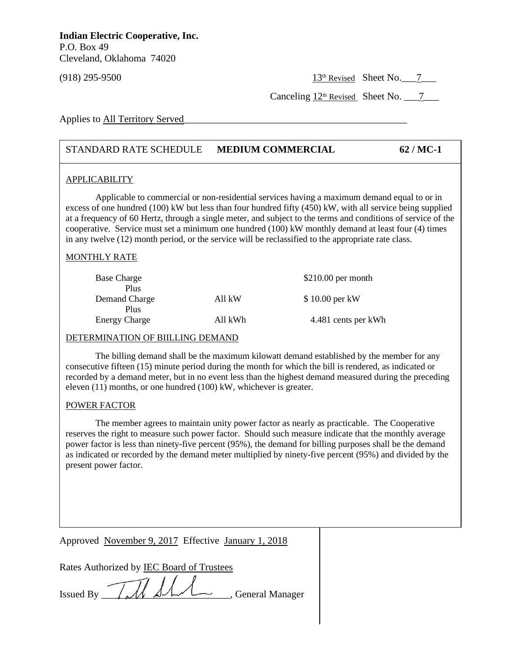$(918)$  295-9500 13<sup>th</sup> Revised Sheet No. 7

Canceling  $12<sup>th</sup>$  Revised Sheet No.  $7$ 

Applies to All Territory Served

## STANDARD RATE SCHEDULE **MEDIUM COMMERCIAL 62 / MC-1**

## APPLICABILITY

Applicable to commercial or non-residential services having a maximum demand equal to or in excess of one hundred (100) kW but less than four hundred fifty (450) kW, with all service being supplied at a frequency of 60 Hertz, through a single meter, and subject to the terms and conditions of service of the cooperative. Service must set a minimum one hundred (100) kW monthly demand at least four (4) times in any twelve (12) month period, or the service will be reclassified to the appropriate rate class.

## MONTHLY RATE

| <b>Base Charge</b><br><b>Plus</b> |         | $$210.00$ per month |
|-----------------------------------|---------|---------------------|
| Demand Charge                     | All kW  | \$10.00 per kW      |
| Plus<br><b>Energy Charge</b>      | All kWh | 4.481 cents per kWh |

#### DETERMINATION OF BIILLING DEMAND

recorded by a definant meter, but in no event less than the ingliest de<br>eleven (11) months, or one hundred (100) kW, whichever is greater. The billing demand shall be the maximum kilowatt demand established by the member for any consecutive fifteen (15) minute period during the month for which the bill is rendered, as indicated or recorded by a demand meter, but in no event less than the highest demand measured during the preceding

## POWER FACTOR

The member agrees to maintain unity power factor as nearly as practicable. The Cooperative reserves the right to measure such power factor. Should such measure indicate that the monthly average power factor is less than ninety-five percent (95%), the demand for billing purposes shall be the demand as indicated or recorded by the demand meter multiplied by ninety-five percent (95%) and divided by the present power factor.

Approved November 9, 2017 Effective January 1, 2018

| Rates Authorized by <b>IEC Board of Trustees</b> |
|--------------------------------------------------|
|--------------------------------------------------|

Issued By  $\sqrt{M}$   $\Delta\Lambda\Lambda$ , General Manager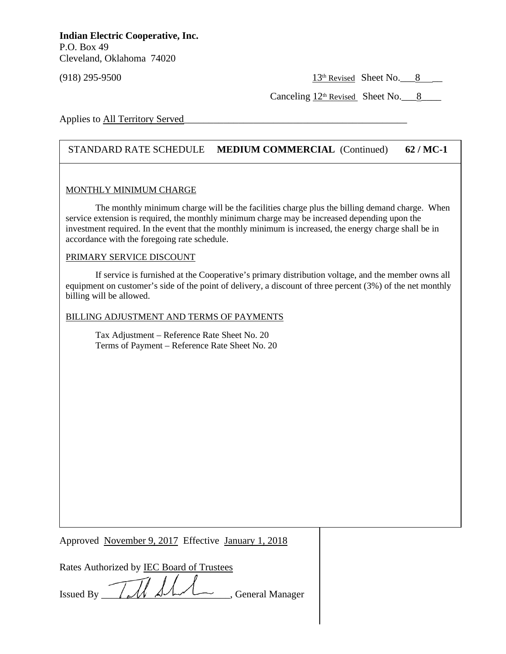$(918)$  295-9500 13<sup>th</sup> Revised Sheet No.  $8 \quad \boxed{ }$ 

Canceling  $12<sup>th</sup>$  Revised Sheet No. 8

Applies to All Territory Served

## STANDARD RATE SCHEDULE **MEDIUM COMMERCIAL** (Continued) **62 / MC-1**

### MONTHLY MINIMUM CHARGE

The monthly minimum charge will be the facilities charge plus the billing demand charge. When service extension is required, the monthly minimum charge may be increased depending upon the investment required. In the event that the monthly minimum is increased, the energy charge shall be in accordance with the foregoing rate schedule.

### PRIMARY SERVICE DISCOUNT

**DO NOT USE THIS MARGIN**

If service is furnished at the Cooperative's primary distribution voltage, and the member owns all equipment on customer's side of the point of delivery, a discount of three percent (3%) of the net monthly billing will be allowed.

BILLING ADJUSTMENT AND TERMS OF PAYMENTS

Tax Adjustment – Reference Rate Sheet No. 20 Terms of Payment – Reference Rate Sheet No. 20

Approved November 9, 2017 Effective January 1, 2018

| Rates Authorized by <b>IEC Board of Trustees</b> |  |  |  |
|--------------------------------------------------|--|--|--|
|                                                  |  |  |  |

Issued By  $\sqrt{M}$   $\overline{\mathcal{M}}$   $\overline{\mathcal{M}}$   $\overline{\mathcal{M}}$   $\overline{\mathcal{M}}$   $\overline{\mathcal{M}}$   $\overline{\mathcal{M}}$   $\overline{\mathcal{M}}$   $\overline{\mathcal{M}}$   $\overline{\mathcal{M}}$   $\overline{\mathcal{M}}$   $\overline{\mathcal{M}}$   $\overline{\mathcal{M}}$   $\overline{\mathcal{M}}$   $\overline{\mathcal{M}}$   $\overline{\mathcal{M}}$   $\overline{\mathcal{M}}$   $\overline{\mathcal{M}}$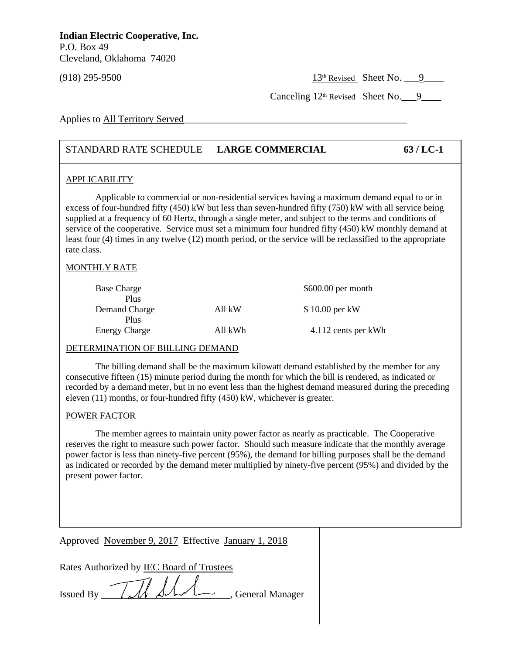$(918)$  295-9500 13<sup>th</sup> Revised Sheet No.  $\qquad 9$  295-9500

Canceling  $12<sup>th</sup>$  Revised Sheet No. 9

Applies to All Territory Served

## STANDARD RATE SCHEDULE **LARGE COMMERCIAL 63 / LC-1**

## APPLICABILITY

Applicable to commercial or non-residential services having a maximum demand equal to or in excess of four-hundred fifty (450) kW but less than seven-hundred fifty (750) kW with all service being supplied at a frequency of 60 Hertz, through a single meter, and subject to the terms and conditions of service of the cooperative. Service must set a minimum four hundred fifty (450) kW monthly demand at least four (4) times in any twelve (12) month period, or the service will be reclassified to the appropriate rate class.

## MONTHLY RATE

| <b>Base Charge</b><br>Plus   |         | $$600.00$ per month |
|------------------------------|---------|---------------------|
| Demand Charge                | All kW  | \$10.00 per kW      |
| Plus<br><b>Energy Charge</b> | All kWh | 4.112 cents per kWh |

## DETERMINATION OF BIILLING DEMAND

recorded by a demand meter, but in no event less than the highest demand measured during the preceding recorded by a demand meter, but in no event less than the highest demand measured during the preceding The billing demand shall be the maximum kilowatt demand established by the member for any consecutive fifteen (15) minute period during the month for which the bill is rendered, as indicated or eleven (11) months, or four-hundred fifty (450) kW, whichever is greater.

## POWER FACTOR

The member agrees to maintain unity power factor as nearly as practicable. The Cooperative reserves the right to measure such power factor. Should such measure indicate that the monthly average power factor is less than ninety-five percent (95%), the demand for billing purposes shall be the demand as indicated or recorded by the demand meter multiplied by ninety-five percent (95%) and divided by the present power factor.

Approved November 9, 2017 Effective January 1, 2018

Issued By  $\overline{\mathcal{U}}$   $\overline{\mathcal{U}}$   $\overline{\mathcal{U}}$   $\overline{\mathcal{U}}$   $\overline{\mathcal{U}}$   $\overline{\mathcal{U}}$   $\overline{\mathcal{U}}$   $\overline{\mathcal{U}}$   $\overline{\mathcal{U}}$   $\overline{\mathcal{U}}$   $\overline{\mathcal{U}}$   $\overline{\mathcal{U}}$   $\overline{\mathcal{U}}$   $\overline{\mathcal{U}}$   $\overline{\mathcal{U}}$   $\overline{\mathcal{U}}$   $\overline{\mathcal{U}}$   $\overline{\mathcal$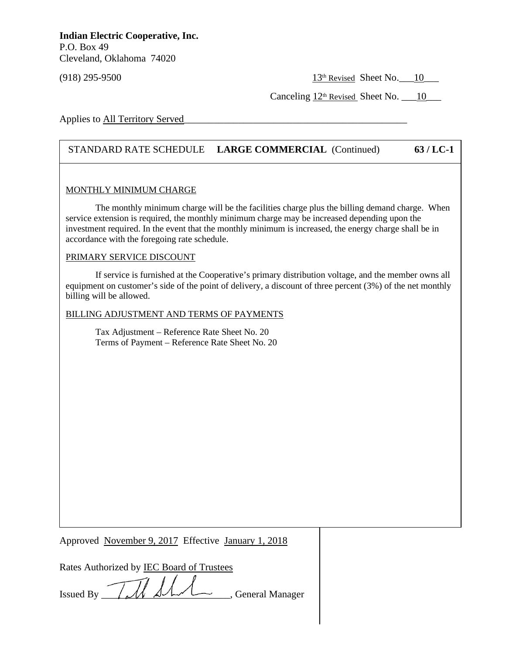$(918)$  295-9500 13<sup>th</sup> Revised Sheet No.  $10$ 

Canceling  $12<sup>th</sup>$  Revised Sheet No. \_\_\_10\_\_\_\_

Applies to All Territory Served

## STANDARD RATE SCHEDULE **LARGE COMMERCIAL** (Continued) **63 / LC-1**

## MONTHLY MINIMUM CHARGE

The monthly minimum charge will be the facilities charge plus the billing demand charge. When service extension is required, the monthly minimum charge may be increased depending upon the investment required. In the event that the monthly minimum is increased, the energy charge shall be in accordance with the foregoing rate schedule.

### PRIMARY SERVICE DISCOUNT

**DO NOT USE THIS MARGIN**

If service is furnished at the Cooperative's primary distribution voltage, and the member owns all equipment on customer's side of the point of delivery, a discount of three percent (3%) of the net monthly billing will be allowed.

BILLING ADJUSTMENT AND TERMS OF PAYMENTS

Tax Adjustment – Reference Rate Sheet No. 20 Terms of Payment – Reference Rate Sheet No. 20

Approved November 9, 2017 Effective January 1, 2018

| Rates Authorized by <b>IEC Board of Trustees</b> |
|--------------------------------------------------|
|--------------------------------------------------|

Issued By  $\overline{\mathcal{U}}$   $\overline{\mathcal{U}}$   $\overline{\mathcal{U}}$   $\overline{\mathcal{U}}$   $\overline{\mathcal{U}}$   $\overline{\mathcal{U}}$   $\overline{\mathcal{U}}$   $\overline{\mathcal{U}}$   $\overline{\mathcal{U}}$   $\overline{\mathcal{U}}$   $\overline{\mathcal{U}}$   $\overline{\mathcal{U}}$   $\overline{\mathcal{U}}$   $\overline{\mathcal{U}}$   $\overline{\mathcal{U}}$   $\overline{\mathcal{U}}$   $\overline{\mathcal{U}}$   $\overline{\mathcal$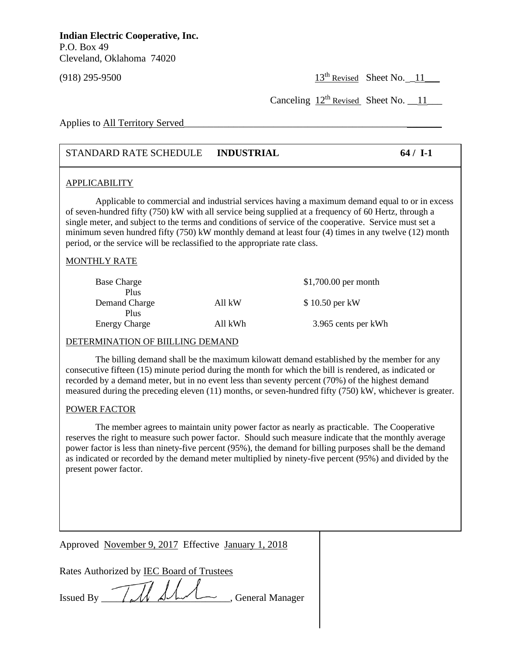(918) 295-9500 13th Revised Sheet No. \_11\_\_\_

Canceling  $12^{th}$  Revised Sheet No.  $11$ 

Applies to All Territory Served

## STANDARD RATE SCHEDULE **INDUSTRIAL 64 / I-1**

### APPLICABILITY

Applicable to commercial and industrial services having a maximum demand equal to or in excess of seven-hundred fifty (750) kW with all service being supplied at a frequency of 60 Hertz, through a single meter, and subject to the terms and conditions of service of the cooperative. Service must set a minimum seven hundred fifty (750) kW monthly demand at least four (4) times in any twelve (12) month period, or the service will be reclassified to the appropriate rate class.

## MONTHLY RATE

| <b>Base Charge</b><br>Plus   |         | $$1,700.00$ per month |
|------------------------------|---------|-----------------------|
| Demand Charge                | All kW  | \$10.50 per kW        |
| Plus<br><b>Energy Charge</b> | All kWh | 3.965 cents per kWh   |

#### DETERMINATION OF BIILLING DEMAND

recorded by a definant meter, but in no event less than seventy percent (70%) or the ingliest definant measured during the preceding eleven (11) months, or seven-hundred fifty (750) kW, whichever is greater. The billing demand shall be the maximum kilowatt demand established by the member for any consecutive fifteen (15) minute period during the month for which the bill is rendered, as indicated or recorded by a demand meter, but in no event less than seventy percent (70%) of the highest demand

## POWER FACTOR

The member agrees to maintain unity power factor as nearly as practicable. The Cooperative reserves the right to measure such power factor. Should such measure indicate that the monthly average power factor is less than ninety-five percent (95%), the demand for billing purposes shall be the demand as indicated or recorded by the demand meter multiplied by ninety-five percent (95%) and divided by the present power factor.

Approved November 9, 2017 Effective January 1, 2018

Rates Authorized by <u>IEC Board of Trustees</u>

| <b>Issued By</b> | $1$ and $\Delta$ and $\Delta$ | General Manager |
|------------------|-------------------------------|-----------------|
|                  |                               |                 |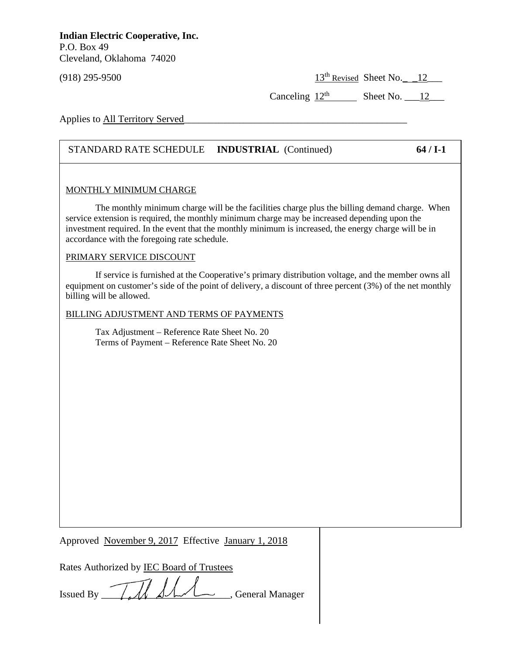$(918)$  295-9500 13<sup>th</sup> Revised Sheet No.  $12$ 

Canceling  $12<sup>th</sup>$  Sheet No.  $12$ 

Applies to All Territory Served

## STANDARD RATE SCHEDULE **INDUSTRIAL** (Continued) **64 / I-1**

## MONTHLY MINIMUM CHARGE

The monthly minimum charge will be the facilities charge plus the billing demand charge. When service extension is required, the monthly minimum charge may be increased depending upon the investment required. In the event that the monthly minimum is increased, the energy charge will be in accordance with the foregoing rate schedule.

### PRIMARY SERVICE DISCOUNT

**DO NOT USE THIS MARGIN**

If service is furnished at the Cooperative's primary distribution voltage, and the member owns all equipment on customer's side of the point of delivery, a discount of three percent (3%) of the net monthly billing will be allowed.

BILLING ADJUSTMENT AND TERMS OF PAYMENTS

Tax Adjustment – Reference Rate Sheet No. 20 Terms of Payment – Reference Rate Sheet No. 20

Approved November 9, 2017 Effective January 1, 2018

Rates Authorized by IEC Board of Trustees

Issued By TAN SAM General Manager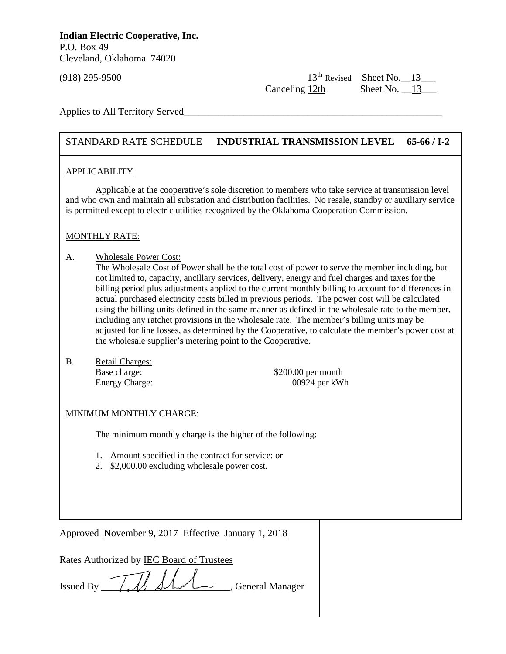$(918)$  295-9500 13<sup>th</sup> Revised Sheet No.  $13$ Canceling 12th Sheet No. 13

Applies to All Territory Served

## STANDARD RATE SCHEDULE **INDUSTRIAL TRANSMISSION LEVEL 65-66 / I-2**

## APPLICABILITY

Applicable at the cooperative's sole discretion to members who take service at transmission level and who own and maintain all substation and distribution facilities. No resale, standby or auxiliary service is permitted except to electric utilities recognized by the Oklahoma Cooperation Commission.

## MONTHLY RATE:

- A. Wholesale Power Cost:
	- The Wholesale Cost of Power shall be the total cost of power to serve the member including, but not limited to, capacity, ancillary services, delivery, energy and fuel charges and taxes for the billing period plus adjustments applied to the current monthly billing to account for differences in actual purchased electricity costs billed in previous periods. The power cost will be calculated using the billing units defined in the same manner as defined in the wholesale rate to the member, including any ratchet provisions in the wholesale rate. The member's billing units may be adjusted for line losses, as determined by the Cooperative, to calculate the member's power cost at the wholesale supplier's metering point to the Cooperative.
- Base charge: B. Retail Charges:

 $$200.00$  per month Energy Charge: .00924 per kWh

## MINIMUM MONTHLY CHARGE:

The minimum monthly charge is the higher of the following:

- 1. Amount specified in the contract for service: or
- 2. \$2,000.00 excluding wholesale power cost.

Approved November 9, 2017 Effective January 1, 2018

| Rates Authorized by <b>IEC Board of Trustees</b> |
|--------------------------------------------------|
|--------------------------------------------------|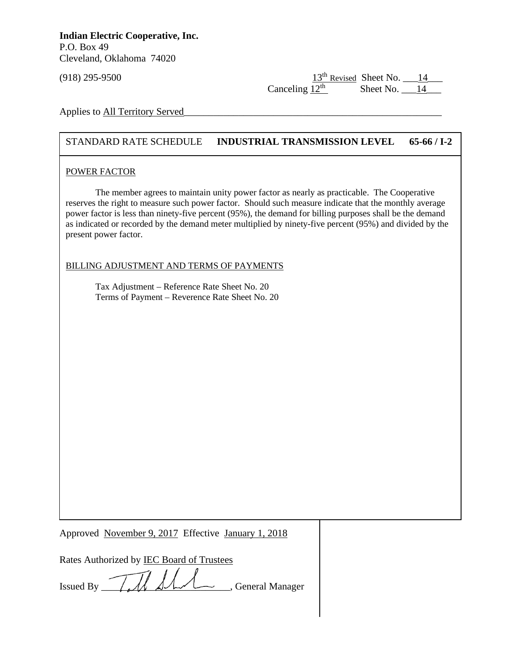(918) 295-9500  $\frac{13^{\text{th}} \text{Revised}}{12^{\text{th}}}$  Sheet No.  $\frac{14}{14}$ Sheet No.  $14$ 

Applies to All Territory Served

**DO NOT USE THIS MARGIN**

## STANDARD RATE SCHEDULE **INDUSTRIAL TRANSMISSION LEVEL 65-66 / I-2**

## POWER FACTOR

The member agrees to maintain unity power factor as nearly as practicable. The Cooperative reserves the right to measure such power factor. Should such measure indicate that the monthly average power factor is less than ninety-five percent (95%), the demand for billing purposes shall be the demand as indicated or recorded by the demand meter multiplied by ninety-five percent (95%) and divided by the present power factor.

## BILLING ADJUSTMENT AND TERMS OF PAYMENTS

Tax Adjustment – Reference Rate Sheet No. 20 Terms of Payment – Reverence Rate Sheet No. 20

Approved November 9, 2017 Effective January 1, 2018

| Rates Authorized by IEC Board of Trustees                                                                                                                                                                                                                                                                                                                                                                                                                               |  |
|-------------------------------------------------------------------------------------------------------------------------------------------------------------------------------------------------------------------------------------------------------------------------------------------------------------------------------------------------------------------------------------------------------------------------------------------------------------------------|--|
| Issued By $\overline{\mathcal{U}}$ $\overline{\mathcal{U}}$ $\overline{\mathcal{U}}$ $\overline{\mathcal{U}}$ $\overline{\mathcal{U}}$ $\overline{\mathcal{U}}$ $\overline{\mathcal{U}}$ $\overline{\mathcal{U}}$ $\overline{\mathcal{U}}$ $\overline{\mathcal{U}}$ $\overline{\mathcal{U}}$ $\overline{\mathcal{U}}$ $\overline{\mathcal{U}}$ $\overline{\mathcal{U}}$ $\overline{\mathcal{U}}$ $\overline{\mathcal{U}}$ $\overline{\mathcal{U}}$ $\overline{\mathcal$ |  |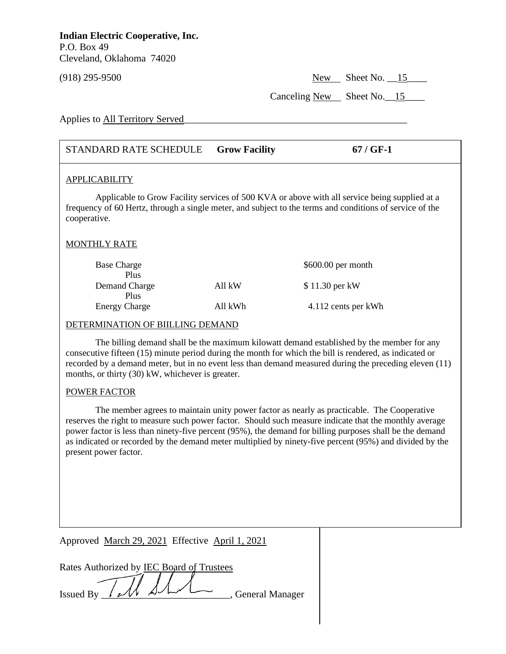(918) 295-9500 New Sheet No. \_\_15\_\_\_\_

Canceling New Sheet No. 15

Applies to All Territory Served

## STANDARD RATE SCHEDULE **Grow Facility 67 / GF-1**

### APPLICABILITY

Applicable to Grow Facility services of 500 KVA or above with all service being supplied at a frequency of 60 Hertz, through a single meter, and subject to the terms and conditions of service of the cooperative.

## MONTHLY RATE

| <b>Base Charge</b>   |         | $$600.00$ per month |
|----------------------|---------|---------------------|
| Plus                 |         |                     |
| Demand Charge        | All kW  | \$11.30 per kW      |
| Plus                 |         |                     |
| <b>Energy Charge</b> | All kWh | 4.112 cents per kWh |

## DETERMINATION OF BIILLING DEMAND

**D** Note that  $\mathbf{y}$  (i.e.,  $\mathbf{y}$ ) and  $\mathbf{y}$ The billing demand shall be the maximum kilowatt demand established by the member for any consecutive fifteen (15) minute period during the month for which the bill is rendered, as indicated or recorded by a demand meter, but in no event less than demand measured during the preceding eleven (11) months, or thirty (30) kW, whichever is greater.

## POWER FACTOR

The member agrees to maintain unity power factor as nearly as practicable. The Cooperative reserves the right to measure such power factor. Should such measure indicate that the monthly average power factor is less than ninety-five percent (95%), the demand for billing purposes shall be the demand as indicated or recorded by the demand meter multiplied by ninety-five percent (95%) and divided by the present power factor.

Approved March 29, 2021 Effective April 1, 2021

|  | Rates Authorized by IEC Board of Trustees |                   |
|--|-------------------------------------------|-------------------|
|  |                                           |                   |
|  | Issued By $\ell$ and $\Delta$             | , General Manager |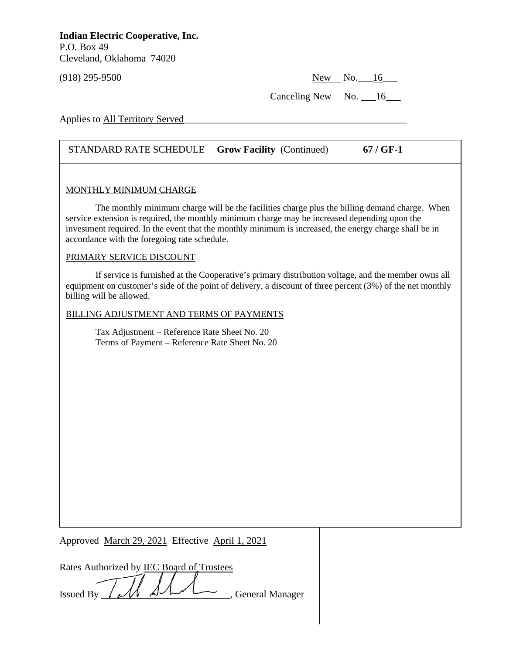(918) 295-9500 New No. 16

Canceling New No.  $\_\$ 16

Applies to All Territory Served

## STANDARD RATE SCHEDULE **Grow Facility** (Continued) **67 / GF-1**

### MONTHLY MINIMUM CHARGE

The monthly minimum charge will be the facilities charge plus the billing demand charge. When service extension is required, the monthly minimum charge may be increased depending upon the investment required. In the event that the monthly minimum is increased, the energy charge shall be in accordance with the foregoing rate schedule.

### PRIMARY SERVICE DISCOUNT

**DO NOT USE THIS MARGIN**

If service is furnished at the Cooperative's primary distribution voltage, and the member owns all equipment on customer's side of the point of delivery, a discount of three percent (3%) of the net monthly billing will be allowed.

BILLING ADJUSTMENT AND TERMS OF PAYMENTS

Tax Adjustment – Reference Rate Sheet No. 20 Terms of Payment – Reference Rate Sheet No. 20

Approved March 29, 2021 Effective April 1, 2021

|  | Rates Authorized by IEC Board of Trustees |                   |
|--|-------------------------------------------|-------------------|
|  |                                           |                   |
|  | Issued By $/\mathcal{M}$                  | , General Manager |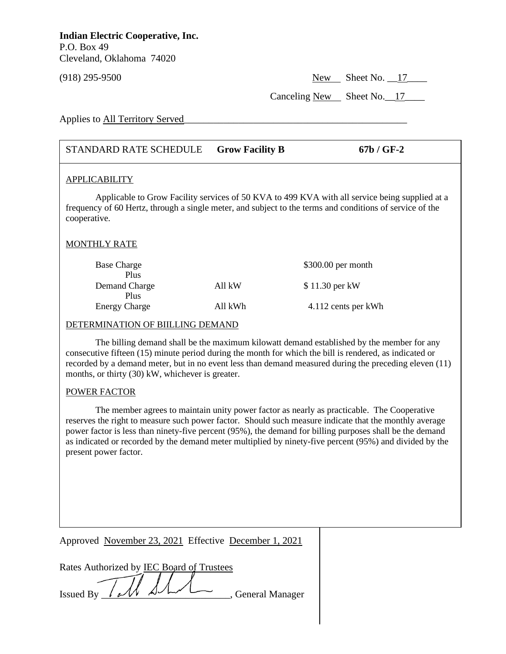(918) 295-9500 New Sheet No. \_\_17\_\_\_\_

Canceling New Sheet No. 17

Applies to All Territory Served

## STANDARD RATE SCHEDULE **Grow Facility B 67b / GF-2**

## APPLICABILITY

Applicable to Grow Facility services of 50 KVA to 499 KVA with all service being supplied at a frequency of 60 Hertz, through a single meter, and subject to the terms and conditions of service of the cooperative.

## MONTHLY RATE

| <b>Base Charge</b>   |         | $$300.00$ per month |
|----------------------|---------|---------------------|
| Plus                 |         |                     |
| Demand Charge        | All kW  | \$11.30 per kW      |
| Plus                 |         |                     |
| <b>Energy Charge</b> | All kWh | 4.112 cents per kWh |

## DETERMINATION OF BIILLING DEMAND

**D** Note that  $\mathbf{y}$  (i.e.,  $\mathbf{y}$ ) and  $\mathbf{y}$ The billing demand shall be the maximum kilowatt demand established by the member for any consecutive fifteen (15) minute period during the month for which the bill is rendered, as indicated or recorded by a demand meter, but in no event less than demand measured during the preceding eleven (11) months, or thirty (30) kW, whichever is greater.

## POWER FACTOR

The member agrees to maintain unity power factor as nearly as practicable. The Cooperative reserves the right to measure such power factor. Should such measure indicate that the monthly average power factor is less than ninety-five percent (95%), the demand for billing purposes shall be the demand as indicated or recorded by the demand meter multiplied by ninety-five percent (95%) and divided by the present power factor.

Approved November 23, 2021 Effective December 1, 2021

|                  | Rates Authorized by IEC Board of Trustees |                   |
|------------------|-------------------------------------------|-------------------|
|                  |                                           |                   |
| ssued By / M Shr |                                           | , General Manager |
|                  |                                           |                   |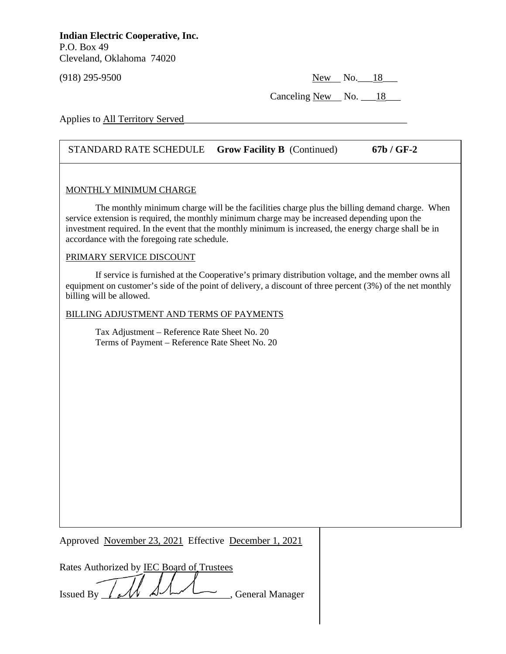(918) 295-9500 New No.\_\_\_18\_\_\_

Canceling New No.  $\_\$ 18

Applies to All Territory Served

## STANDARD RATE SCHEDULE **Grow Facility B** (Continued) **67b / GF-2**

### MONTHLY MINIMUM CHARGE

The monthly minimum charge will be the facilities charge plus the billing demand charge. When service extension is required, the monthly minimum charge may be increased depending upon the investment required. In the event that the monthly minimum is increased, the energy charge shall be in accordance with the foregoing rate schedule.

### PRIMARY SERVICE DISCOUNT

**DO NOT USE THIS MARGIN**

If service is furnished at the Cooperative's primary distribution voltage, and the member owns all equipment on customer's side of the point of delivery, a discount of three percent (3%) of the net monthly billing will be allowed.

BILLING ADJUSTMENT AND TERMS OF PAYMENTS

Tax Adjustment – Reference Rate Sheet No. 20 Terms of Payment – Reference Rate Sheet No. 20

Approved November 23, 2021 Effective December 1, 2021

| Rates Authorized by IEC Board of Trustees |  |                   |  |
|-------------------------------------------|--|-------------------|--|
|                                           |  |                   |  |
| Issued By $\mathcal{M}$ $\mathcal{M}$     |  | , General Manager |  |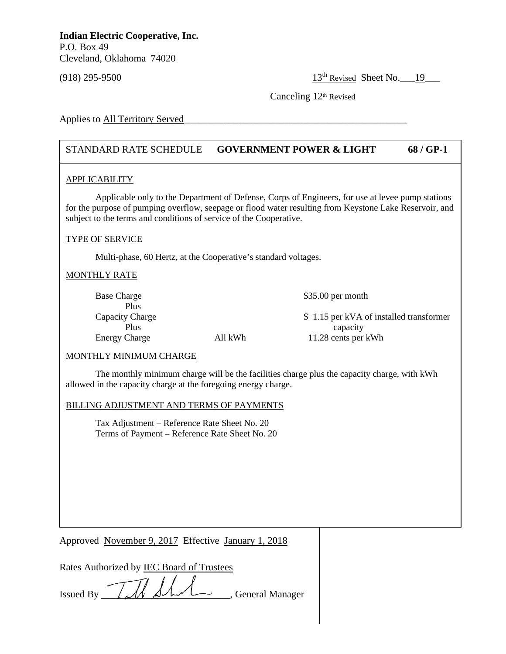(918) 295-9500 13th Revised Sheet No.\_\_\_19\_\_\_

Canceling  $12<sup>th</sup>$  Revised

Applies to All Territory Served

## STANDARD RATE SCHEDULE **GOVERNMENT POWER & LIGHT 68 / GP-1**

## APPLICABILITY

Applicable only to the Department of Defense, Corps of Engineers, for use at levee pump stations for the purpose of pumping overflow, seepage or flood water resulting from Keystone Lake Reservoir, and subject to the terms and conditions of service of the Cooperative.

### TYPE OF SERVICE

Multi-phase, 60 Hertz, at the Cooperative's standard voltages.

## MONTHLY RATE

| <b>Base Charge</b>   |         | $$35.00$ per month                      |
|----------------------|---------|-----------------------------------------|
| Plus                 |         |                                         |
| Capacity Charge      |         | \$1.15 per kVA of installed transformer |
| Plus                 |         | capacity                                |
| <b>Energy Charge</b> | All kWh | 11.28 cents per kWh                     |

#### MONTHLY MINIMUM CHARGE

allowed in the capacity charge at the foregoing energy charge. The monthly minimum charge will be the facilities charge plus the capacity charge, with kWh

#### BILLING ADJUSTMENT AND TERMS OF PAYMENTS

Tax Adjustment – Reference Rate Sheet No. 20 Terms of Payment – Reference Rate Sheet No. 20

Approved November 9, 2017 Effective January 1, 2018

| Rates Authorized by <b>IEC Board of Trustees</b> |  |  |  |
|--------------------------------------------------|--|--|--|
|                                                  |  |  |  |

Issued By  $\sqrt{M}$   $\Delta\Lambda\Lambda$ , General Manager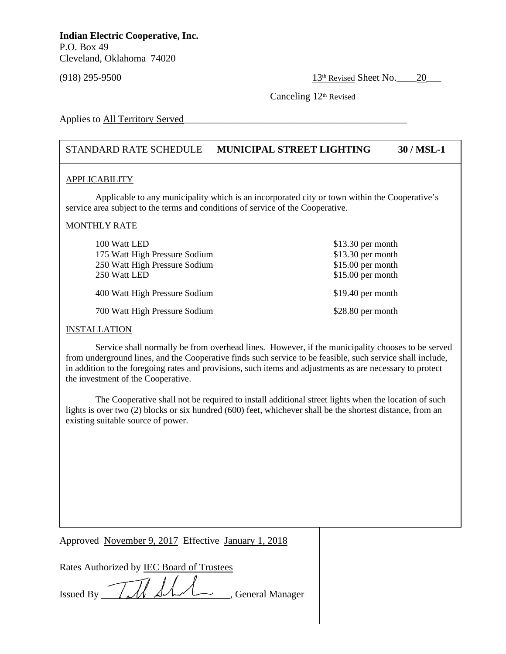$(918)$  295-9500 13<sup>th</sup> Revised Sheet No. 20

Canceling  $12<sup>th</sup>$  Revised

Applies to All Territory Served

## STANDARD RATE SCHEDULE **MUNICIPAL STREET LIGHTING 30 / MSL-1**

### APPLICABILITY

Applicable to any municipality which is an incorporated city or town within the Cooperative's service area subject to the terms and conditions of service of the Cooperative.

### MONTHLY RATE

| 100 Watt LED<br>175 Watt High Pressure Sodium<br>250 Watt High Pressure Sodium<br>250 Watt LED | $$13.30$ per month<br>$$13.30$ per month<br>$$15.00$ per month<br>$$15.00$ per month |
|------------------------------------------------------------------------------------------------|--------------------------------------------------------------------------------------|
| 400 Watt High Pressure Sodium                                                                  | $$19.40$ per month                                                                   |
| 700 Watt High Pressure Sodium                                                                  | \$28.80 per month                                                                    |

#### **INSTALLATION**

the investment of the Cooperative. Service shall normally be from overhead lines. However, if the municipality chooses to be served from underground lines, and the Cooperative finds such service to be feasible, such service shall include, in addition to the foregoing rates and provisions, such items and adjustments as are necessary to protect

The Cooperative shall not be required to install additional street lights when the location of such lights is over two (2) blocks or six hundred (600) feet, whichever shall be the shortest distance, from an existing suitable source of power.

Approved November 9, 2017 Effective January 1, 2018

Rates Authorized by IEC Board of Trustees

Issued By \_\_\_\_\_\_\_\_\_\_\_\_\_\_\_\_\_\_\_\_\_\_\_\_\_\_, General Manager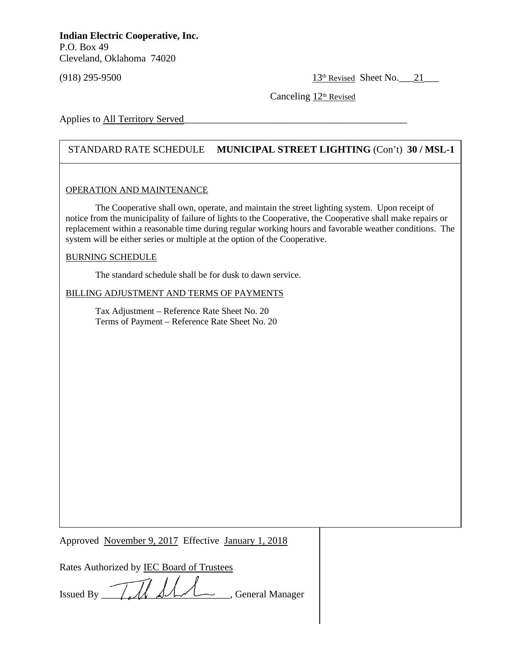$(918)$  295-9500 13<sup>th</sup> Revised Sheet No. 21

Canceling  $12<sup>th</sup>$  Revised

Applies to All Territory Served

## STANDARD RATE SCHEDULE **MUNICIPAL STREET LIGHTING** (Con't) **30 / MSL-1**

### OPERATION AND MAINTENANCE

The Cooperative shall own, operate, and maintain the street lighting system. Upon receipt of notice from the municipality of failure of lights to the Cooperative, the Cooperative shall make repairs or replacement within a reasonable time during regular working hours and favorable weather conditions. The system will be either series or multiple at the option of the Cooperative.

### BURNING SCHEDULE

**DO NOT USE THIS MARGIN**

The standard schedule shall be for dusk to dawn service.

BILLING ADJUSTMENT AND TERMS OF PAYMENTS

Tax Adjustment – Reference Rate Sheet No. 20 Terms of Payment – Reference Rate Sheet No. 20

Approved November 9, 2017 Effective January 1, 2018

Rates Authorized by IEC Board of Trustees

Issued By TA SAA Seneral Manager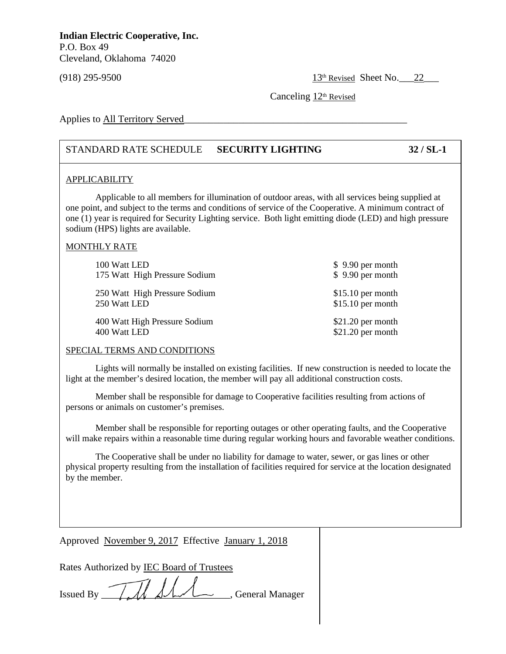$(918)$  295-9500  $\frac{13^{\text{th}} \text{Revised}}{13^{\text{th}} \text{Revised}}$  Sheet No. 22

Canceling 12<sup>th</sup> Revised

Applies to All Territory Served

## STANDARD RATE SCHEDULE **SECURITY LIGHTING 32 / SL-1**

### APPLICABILITY

Applicable to all members for illumination of outdoor areas, with all services being supplied at one point, and subject to the terms and conditions of service of the Cooperative. A minimum contract of one (1) year is required for Security Lighting service. Both light emitting diode (LED) and high pressure sodium (HPS) lights are available.

## MONTHLY RATE

| 100 Watt LED                  | $$9.90$ per month  |
|-------------------------------|--------------------|
| 175 Watt High Pressure Sodium | $$9.90$ per month  |
| 250 Watt High Pressure Sodium | $$15.10$ per month |
| 250 Watt LED                  | $$15.10$ per month |
| 400 Watt High Pressure Sodium | $$21.20$ per month |
| 400 Watt LED                  | \$21.20 per month  |

## SPECIAL TERMS AND CONDITIONS

light at the member's desired location, the member will pay all additional construction costs. Lights will normally be installed on existing facilities. If new construction is needed to locate the

Member shall be responsible for damage to Cooperative facilities resulting from actions of persons or animals on customer's premises.

Member shall be responsible for reporting outages or other operating faults, and the Cooperative will make repairs within a reasonable time during regular working hours and favorable weather conditions.

The Cooperative shall be under no liability for damage to water, sewer, or gas lines or other physical property resulting from the installation of facilities required for service at the location designated by the member.

Approved November 9, 2017 Effective January 1, 2018

Rates Authorized by IEC Board of Trustees

Issued By IM AM General Manager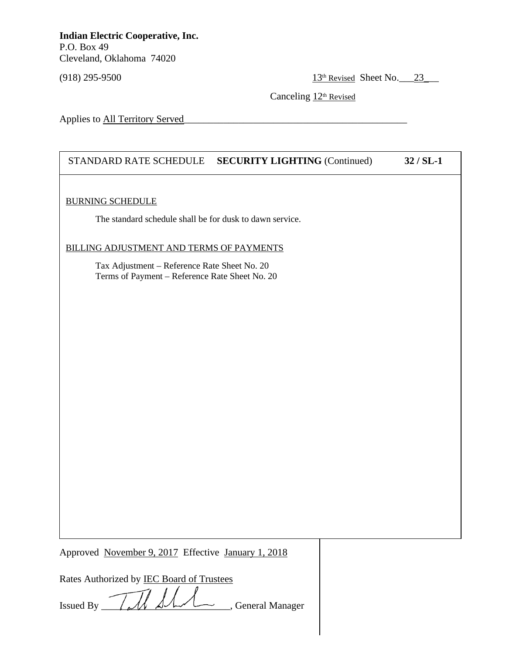(918) 295-9500 13<sup>th</sup> Revised Sheet No. 23

Canceling  $12<sup>th</sup>$  Revised

Applies to All Territory Served

## STANDARD RATE SCHEDULE **SECURITY LIGHTING** (Continued) **32 / SL-1**

### BURNING SCHEDULE

**DO NOT USE THIS MARGIN**

The standard schedule shall be for dusk to dawn service.

## BILLING ADJUSTMENT AND TERMS OF PAYMENTS

Tax Adjustment – Reference Rate Sheet No. 20 Terms of Payment – Reference Rate Sheet No. 20

Approved November 9, 2017 Effective January 1, 2018

| Rates Authorized by IEC Board of Trustees            |  |
|------------------------------------------------------|--|
|                                                      |  |
| Issued By $\sqrt{M}$ AM $\sqrt{M}$ , General Manager |  |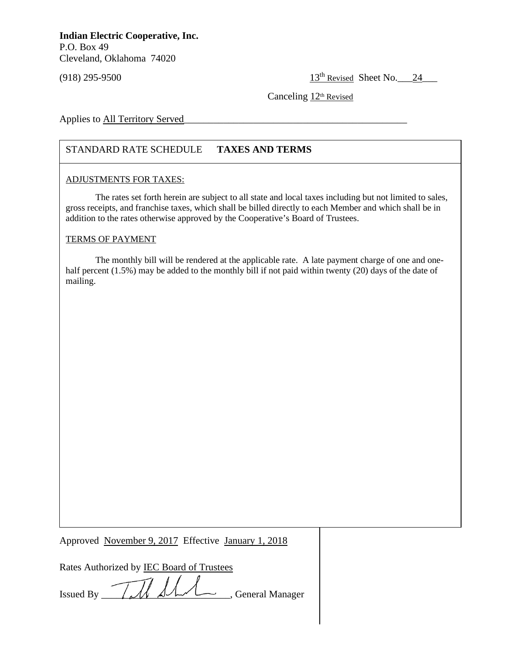$(918)$  295-9500 13<sup>th</sup> Revised Sheet No. 24

Canceling  $12<sup>th</sup>$  Revised

Applies to All Territory Served

## STANDARD RATE SCHEDULE **TAXES AND TERMS**

## ADJUSTMENTS FOR TAXES:

**DO NOT USE THIS MARGIN**

The rates set forth herein are subject to all state and local taxes including but not limited to sales, gross receipts, and franchise taxes, which shall be billed directly to each Member and which shall be in addition to the rates otherwise approved by the Cooperative's Board of Trustees.

## TERMS OF PAYMENT

The monthly bill will be rendered at the applicable rate. A late payment charge of one and onehalf percent (1.5%) may be added to the monthly bill if not paid within twenty (20) days of the date of mailing.

Approved November 9, 2017 Effective January 1, 2018

Rates Authorized by IEC Board of Trustees

Issued By  $\frac{1}{\sqrt{M}}$   $\frac{1}{\sqrt{M}}$   $\frac{1}{\sqrt{M}}$  General Manager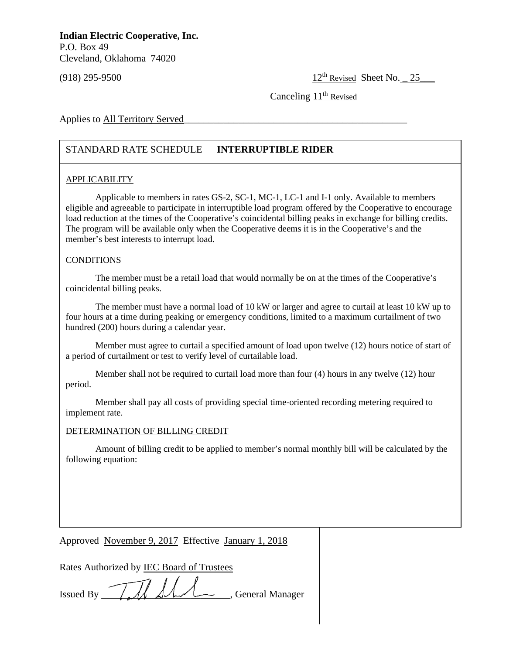$(918)$  295-9500 12<sup>th</sup> Revised Sheet No.  $25$ 

Canceling  $11<sup>th</sup>$  Revised

Applies to All Territory Served

## STANDARD RATE SCHEDULE **INTERRUPTIBLE RIDER**

## APPLICABILITY

Applicable to members in rates GS-2, SC-1, MC-1, LC-1 and I-1 only. Available to members eligible and agreeable to participate in interruptible load program offered by the Cooperative to encourage load reduction at the times of the Cooperative's coincidental billing peaks in exchange for billing credits. The program will be available only when the Cooperative deems it is in the Cooperative's and the member's best interests to interrupt load.

### CONDITIONS

The member must be a retail load that would normally be on at the times of the Cooperative's coincidental billing peaks.

The member must have a normal load of 10 kW or larger and agree to curtail at least 10 kW up to four hours at a time during peaking or emergency conditions, limited to a maximum curtailment of two hundred (200) hours during a calendar year.

Member must agree to curtail a specified amount of load upon twelve (12) hours notice of start of a period of curtailment or test to verify level of curtailable load.

period. Member shall not be required to curtail load more than four (4) hours in any twelve (12) hour

Member shall pay all costs of providing special time-oriented recording metering required to implement rate.

#### DETERMINATION OF BILLING CREDIT

Amount of billing credit to be applied to member's normal monthly bill will be calculated by the following equation:

Approved November 9, 2017 Effective January 1, 2018

Rates Authorized by IEC Board of Trustees

Issued By TA ALL General Manager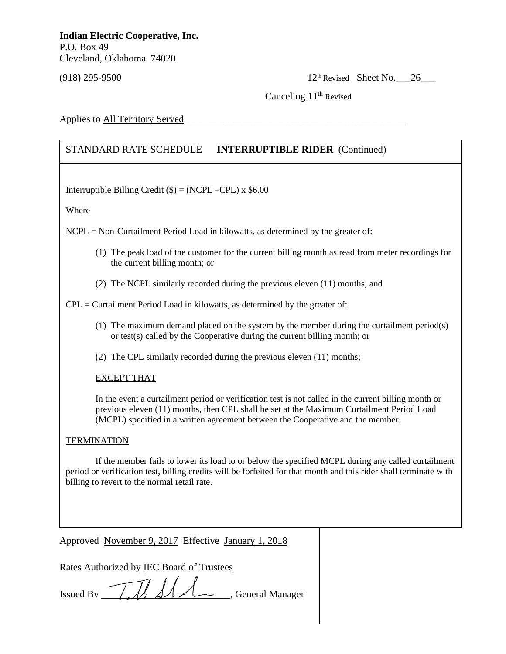(918) 295-9500 12<sup>th</sup> Revised Sheet No. 26

Canceling  $11<sup>th</sup>$  Revised

Applies to All Territory Served

## STANDARD RATE SCHEDULE **INTERRUPTIBLE RIDER** (Continued)

Interruptible Billing Credit  $(\$) = (NCPL - CPL) \times \$6.00$ 

Where

NCPL = Non-Curtailment Period Load in kilowatts, as determined by the greater of:

- (1) The peak load of the customer for the current billing month as read from meter recordings for the current billing month; or
- (2) The NCPL similarly recorded during the previous eleven (11) months; and

 $CPL =$  Curtailment Period Load in kilowatts, as determined by the greater of:

- (1) The maximum demand placed on the system by the member during the curtailment period(s) or test(s) called by the Cooperative during the current billing month; or
- (2) The CPL similarly recorded during the previous eleven (11) months;

## **EXCEPT THAT**

In the event a curtailment period or verification test is not called in the current billing month or previous eleven (11) months, then CPL shall be set at the Maximum Curtailment Period Load (MCPL) specified in a written agreement between the Cooperative and the member.

## TERMINATION

If the member fails to lower its load to or below the specified MCPL during any called curtailment period or verification test, billing credits will be forfeited for that month and this rider shall terminate with billing to revert to the normal retail rate.

Approved November 9, 2017 Effective January 1, 2018

Rates Authorized by IEC Board of Trustees

Issued By \_\_\_\_\_\_\_\_\_\_\_\_\_\_\_\_\_\_\_\_\_\_\_\_\_\_, General Manager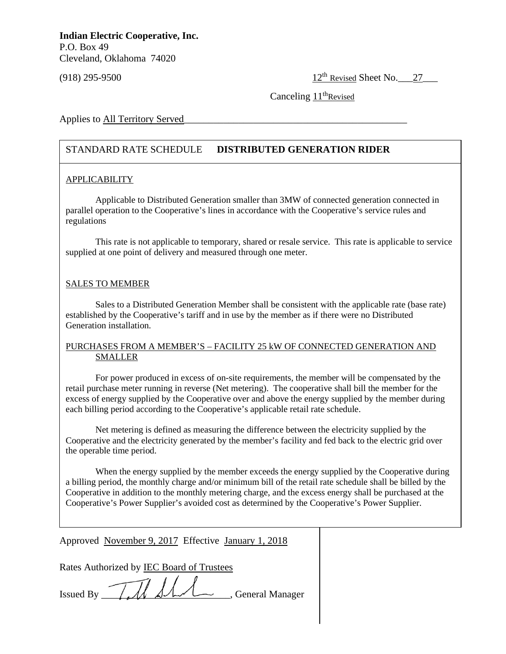$(918)$  295-9500  $12^{th}$  Revised Sheet No.  $27$ 

Canceling  $11<sup>th</sup>$ Revised

Applies to All Territory Served

## STANDARD RATE SCHEDULE **DISTRIBUTED GENERATION RIDER**

## APPLICABILITY

Applicable to Distributed Generation smaller than 3MW of connected generation connected in parallel operation to the Cooperative's lines in accordance with the Cooperative's service rules and regulations

This rate is not applicable to temporary, shared or resale service. This rate is applicable to service supplied at one point of delivery and measured through one meter.

## SALES TO MEMBER

Sales to a Distributed Generation Member shall be consistent with the applicable rate (base rate) established by the Cooperative's tariff and in use by the member as if there were no Distributed Generation installation.

## PURCHASES FROM A MEMBER'S – FACILITY 25 kW OF CONNECTED GENERATION AND SMALLER

For power produced in excess of on-site requirements, the member will be compensated by the<br>retail purchase meter running in reverse (Net metering). The cooperative shall bill the member for the For power produced in excess of on-site requirements, the member will be compensated by the excess of energy supplied by the Cooperative over and above the energy supplied by the member during each billing period according to the Cooperative's applicable retail rate schedule.

Net metering is defined as measuring the difference between the electricity supplied by the Cooperative and the electricity generated by the member's facility and fed back to the electric grid over the operable time period.

When the energy supplied by the member exceeds the energy supplied by the Cooperative during a billing period, the monthly charge and/or minimum bill of the retail rate schedule shall be billed by the Cooperative in addition to the monthly metering charge, and the excess energy shall be purchased at the Cooperative's Power Supplier's avoided cost as determined by the Cooperative's Power Supplier.

Approved November 9, 2017 Effective January 1, 2018

Rates Authorized by IEC Board of Trustees

Issued By TM AM General Manager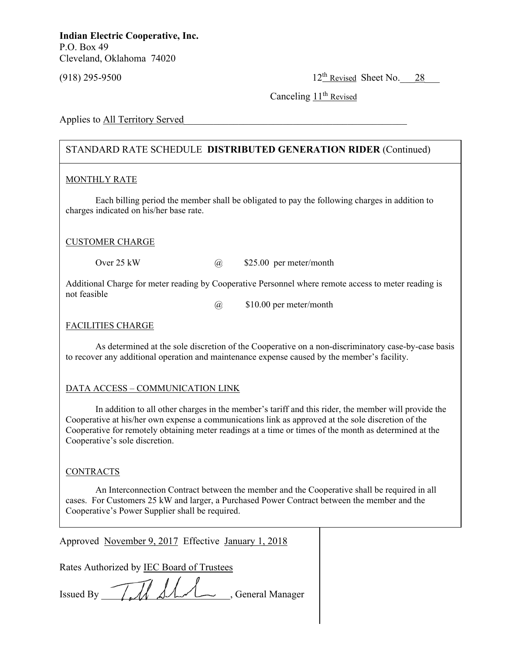(918) 295-9500 12<sup>th</sup> Revised Sheet No. 28

Canceling 11<sup>th</sup> Revised

Applies to All Territory Served

## STANDARD RATE SCHEDULE **DISTRIBUTED GENERATION RIDER** (Continued)

## MONTHLY RATE

Each billing period the member shall be obligated to pay the following charges in addition to charges indicated on his/her base rate.

## CUSTOMER CHARGE

Over 25 kW  $\omega$  \$25.00 per meter/month

Additional Charge for meter reading by Cooperative Personnel where remote access to meter reading is not feasible

@ \$10.00 per meter/month

## FACILITIES CHARGE

As determined at the sole discretion of the Cooperative on a non-discriminatory case-by-case basis to recover any additional operation and maintenance expense caused by the member's facility.

# **DATA ACCESS – COMMUNICATION LINK**

In addition to all other charges in the member's tariff and this rider, the member will provide the Cooperative at his/her own expense a communications link as approved at the sole discretion of the Cooperative for remotely obtaining meter readings at a time or times of the month as determined at the Cooperative's sole discretion.

## **CONTRACTS**

 An Interconnection Contract between the member and the Cooperative shall be required in all cases. For Customers 25 kW and larger, a Purchased Power Contract between the member and the Cooperative's Power Supplier shall be required.

Approved November 9, 2017 Effective January 1, 2018

Rates Authorized by IEC Board of Trustees

Issued By \_\_\_\_\_\_\_\_\_\_\_\_\_\_\_\_\_\_\_\_\_\_\_\_\_\_, General Manager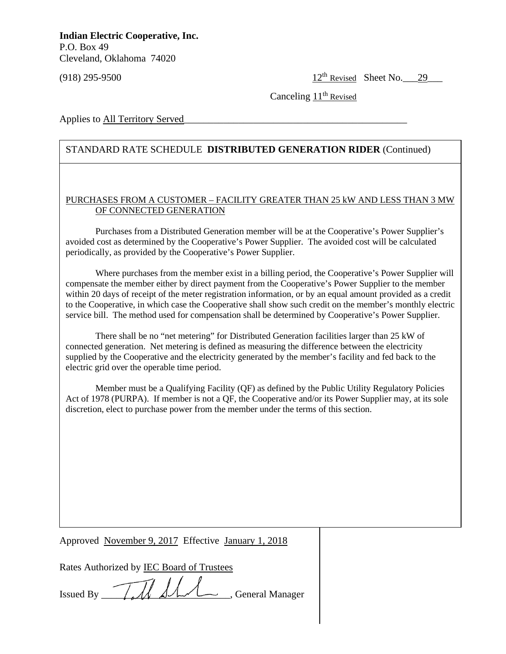(918) 295-9500  $12^{th}$  Revised Sheet No. 29

Canceling  $11<sup>th</sup>$  Revised

Applies to All Territory Served

## STANDARD RATE SCHEDULE **DISTRIBUTED GENERATION RIDER** (Continued)

## PURCHASES FROM A CUSTOMER – FACILITY GREATER THAN 25 kW AND LESS THAN 3 MW OF CONNECTED GENERATION

Purchases from a Distributed Generation member will be at the Cooperative's Power Supplier's avoided cost as determined by the Cooperative's Power Supplier. The avoided cost will be calculated periodically, as provided by the Cooperative's Power Supplier.

Where purchases from the member exist in a billing period, the Cooperative's Power Supplier will compensate the member either by direct payment from the Cooperative's Power Supplier to the member within 20 days of receipt of the meter registration information, or by an equal amount provided as a credit to the Cooperative, in which case the Cooperative shall show such credit on the member's monthly electric service bill. The method used for compensation shall be determined by Cooperative's Power Supplier.

There shall be no "net metering" for Distributed Generation facilities larger than 25 kW of connected generation. Net metering is defined as measuring the difference between the electricity supplied by the Cooperative and the electricity generated by the member's facility and fed back to the electric grid over the operable time period.

Member must be a Qualifying Facility (QF) as defined by the Public Utility Regulatory Policies Act of 1978 (PURPA). If member is not a QF, the Cooperative and/or its Power Supplier may, at its sole discretion, elect to purchase power from the member under the terms of this section.

Approved November 9, 2017 Effective January 1, 2018

Rates Authorized by IEC Board of Trustees

Issued By *IIM SAA*, General Manager